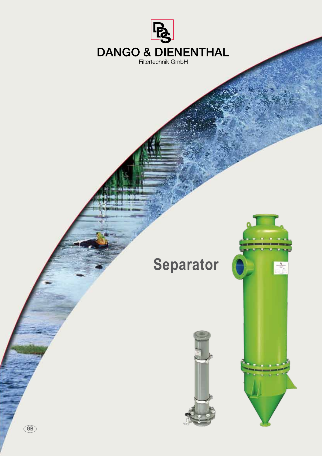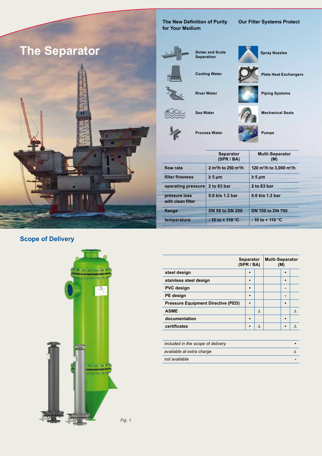

**The New Definition of Purity for Your Medium**

**Cooling Water**

**Sea Water** 

**River Water**

**Process Water**

#### **Our Filter Systems Protect**



 $\gamma$ 

**Sinter and Scale Separation**

**Spray Nozzles**

**Plate Heat Exchangers**

**Piping Systems**

**Mechanical Seals**

**Pumps**

|                                    | <b>Separator</b><br>(SPR / BA)               | <b>Multi-Separator</b><br>(M)                    |
|------------------------------------|----------------------------------------------|--------------------------------------------------|
| flow rate                          | 2 m <sup>3</sup> /h to 250 m <sup>3</sup> /h | 120 m <sup>3</sup> /h to 3,000 m <sup>3</sup> /h |
| filter fineness                    | $\geq 5 \text{ µm}$                          | $\geq 5 \mu m$                                   |
| operating pressure                 | 2 to 63 bar                                  | 2 to 63 bar                                      |
| pressure loss<br>with clean filter | 0.6 bis 1.2 bar                              | 0.6 bis 1.2 bar                                  |
| flange                             | <b>DN 50 to DN 200</b>                       | <b>DN 150 to DN 700</b>                          |
| temperature                        | $-10$ to $+110$ °C                           | $-10$ to $+110$ °C                               |

# **Scope of Delivery**



|                                           | <b>Separator</b><br>(SPR / BA) |          | <b>Multi-Separator</b><br>(M) |           |          |
|-------------------------------------------|--------------------------------|----------|-------------------------------|-----------|----------|
| steel design                              |                                |          |                               |           |          |
| stainless steel design                    | $\bullet$                      |          |                               |           |          |
| <b>PVC</b> design                         | $\bullet$                      |          |                               |           |          |
| PE design                                 | $\bullet$                      |          |                               |           |          |
| <b>Pressure Equipment Directive (PED)</b> |                                |          |                               |           |          |
| <b>ASME</b>                               |                                | $\wedge$ |                               |           | $\wedge$ |
| documentation                             | $\bullet$                      |          |                               | $\bullet$ |          |
| certificates                              | ٠                              | $\wedge$ |                               | $\bullet$ | Λ        |
|                                           |                                |          |                               |           |          |

| included in the scope of delivery |  |  |
|-----------------------------------|--|--|
| available at extra charge         |  |  |
| not available                     |  |  |

*Fig. 1*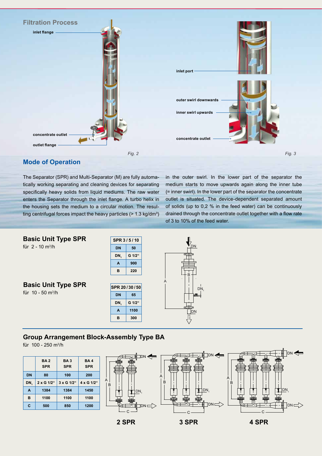

#### **Mode of Operation**

The Separator (SPR) and Multi-Separator (M) are fully automatically working separating and cleaning devices for separating specifically heavy solids from liquid mediums. The raw water enters the Separator through the inlet flange. A turbo helix in the housing sets the medium to a circular motion. The resulting centrifugal forces impact the heavy particles  $(> 1.3 \text{ kg/dm}^3)$  in the outer swirl. In the lower part of the separator the medium starts to move upwards again along the inner tube (= inner swirl). In the lower part of the separator the concentrate outlet is situated. The device-dependent separated amount of solids (up to 0,2 % in the feed water) can be continuously drained through the concentrate outlet together with a flow rate of 3 to 10% of the feed water.



## **Group Arrangement Block-Assembly Type BA**

für 100 - 250 m3/h

|           | <b>BA2</b><br><b>SPR</b> | <b>BA3</b><br><b>SPR</b> | <b>BA4</b><br><b>SPR</b> |  |
|-----------|--------------------------|--------------------------|--------------------------|--|
| <b>DN</b> | 80                       | 100                      | 200                      |  |
| DN,       | 2 x G 1/2"               | 3 x G 1/2"               | 4 x G 1/2"               |  |
| A         | 1384                     | 1384                     | 1450                     |  |
| B         | 1100                     | 1100                     | 1100                     |  |
| C         | 500                      | 850                      | 1200                     |  |

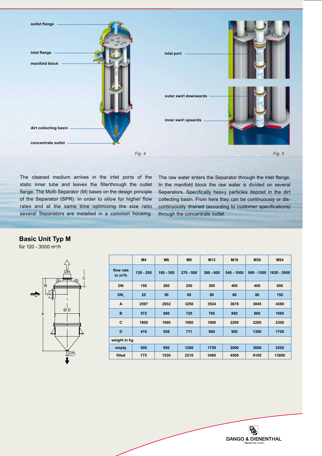

The cleaned medium arrives in the inlet ports of the static inner tube and leaves the filterthrough the outlet flange. The Multi-Separator (M) bases on the design principle of the Separator (SPR). In order to allow for higher flow rates and at the same time optimizing the size ratio several Separators are installed in a common housing. The raw water enters the Separator through the inlet flange. In the manifold block the raw water is divided on several Separators. Specifically heavy particles deposit in the dirt collecting basin. From here they can be continuously or discontinuously drained (according to customer specifications) through the concentrate outlet.

#### **Basic Unit Typ M**

für 120 - 3000 m3/h



|                         | M <sub>4</sub> | M <sub>6</sub> | M <sub>9</sub> | M <sub>12</sub> | M18        | M30          | M54         |
|-------------------------|----------------|----------------|----------------|-----------------|------------|--------------|-------------|
| flow rate<br>in $m^3/h$ | $120 - 200$    | $180 - 300$    | $270 - 500$    | $360 - 600$     | 540 - 1000 | $900 - 1500$ | 1620 - 3000 |
| <b>DN</b>               | 150            | 200            | 250            | 300             | 400        | 400          | 600         |
| DN <sub>1</sub>         | 25             | 50             | 65             | 80              | 80         | 80           | 150         |
| A                       | 2597           | 2932           | 3250           | 3524            | 3670       | 3845         | 4380        |
| B                       | 572            | 690            | 720            | 785             | 860        | 860          | 1085        |
| C                       | 1800           | 1900           | 1900           | 1900            | 2200       | 2200         | 2300        |
| D                       | 419            | 508            | 711            | 900             | 900        | 1300         | 1700        |
| weight in kg            |                |                |                |                 |            |              |             |
| empty                   | 500            | 950            | 1260           | 1750            | 2000       | 3600         | 5200        |
| filled                  | 775            | 1530           | 2210           | 3460            | 4500       | 8100         | 13800       |

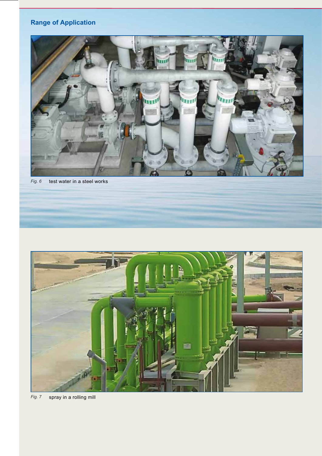# **Range of Application**



*Fig. 6* test water in a steel works



*Fig. 7* spray in a rolling mill